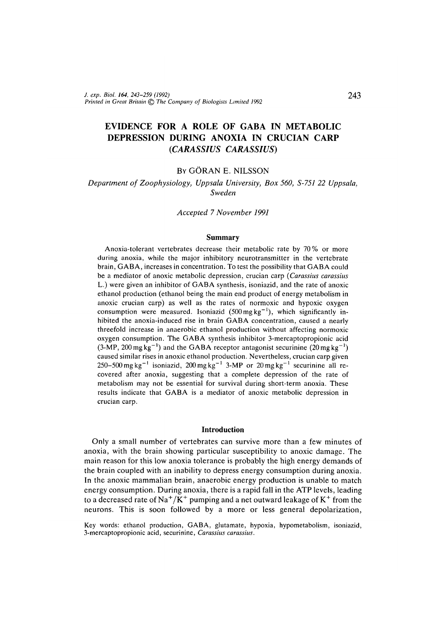# **EVIDENCE FOR A ROLE OF GABA IN METABOLIC DEPRESSION DURING ANOXIA IN CRUCIAN CARP** *(CARASSIUS CARASSIUS)*

### BY GORAN E. NILSSON

# *Department of Zoophysiology, Uppsala University, Box 560, S-751 22 Uppsala, Sweden*

### *Accepted 7 November 1991*

#### **Summary**

Anoxia-tolerant vertebrates decrease their metabolic rate by 70% or more during anoxia, while the major inhibitory neurotransmitter in the vertebrate brain, GABA, increases in concentration. To test the possibility that GABA could be a mediator of anoxic metabolic depression, crucian carp *(Carassius carassius* L.) were given an inhibitor of GABA synthesis, isoniazid, and the rate of anoxic ethanol production (ethanol being the main end product of energy metabolism in anoxic crucian carp) as well as the rates of normoxic and hypoxic oxygen consumption were measured. Isoniazid  $(500 \text{ mg kg}^{-1})$ , which significantly inhibited the anoxia-induced rise in brain GABA concentration, caused a nearly threefold increase in anaerobic ethanol production without affecting normoxic oxygen consumption. The GABA synthesis inhibitor 3-mercaptopropionic acid  $(3-MP, 200 \text{ mg kg}^{-1})$  and the GABA receptor antagonist securinine  $(20 \text{ mg kg}^{-1})$ caused similar rises in anoxic ethanol production. Nevertheless, crucian carp given 250–500 mg kg<sup>-1</sup> isoniazid, 200 mg kg<sup>-1</sup> 3-MP or 20 mg kg<sup>-1</sup> securinine all recovered after anoxia, suggesting that a complete depression of the rate of metabolism may not be essential for survival during short-term anoxia. These results indicate that GABA is a mediator of anoxic metabolic depression in crucian carp.

#### **Introduction**

Only a small number of vertebrates can survive more than a few minutes of anoxia, with the brain showing particular susceptibility to anoxic damage. The main reason for this low anoxia tolerance is probably the high energy demands of the brain coupled with an inability to depress energy consumption during anoxia. In the anoxic mammalian brain, anaerobic energy production is unable to match energy consumption. During anoxia, there is a rapid fall in the ATP levels, leading to a decreased rate of  $\rm Na^+/K^+$  pumping and a net outward leakage of  $\rm K^+$  from the neurons. This is soon followed by a more or less general depolarization,

Key words: ethanol production, GABA, glutamate, hypoxia, hypometabolism, isoniazid, 3-mercaptopropionic acid, securinine, *Carassius carassius.*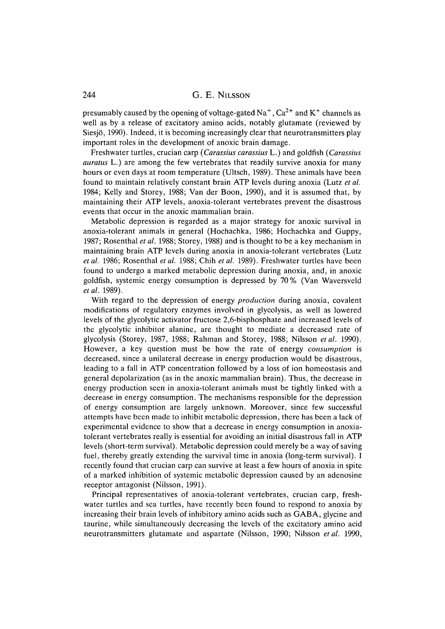presumably caused by the opening of voltage-gated  $\mathrm{Na}^+,\mathrm{Ca}^{2+}$  and  $\mathrm{K}^+$  channels as well as by a release of excitatory amino acids, notably glutamate (reviewed by Siesjo, 1990). Indeed, it is becoming increasingly clear that neurotransmitters play important roles in the development of anoxic brain damage.

Freshwater turtles, crucian carp *(Carassius carassius* L.) and goldfish *(Carassius auratus* L.) are among the few vertebrates that readily survive anoxia for many hours or even days at room temperature (Ultsch, 1989). These animals have been found to maintain relatively constant brain ATP levels during anoxia (Lutz *et al.* 1984; Kelly and Storey, 1988; Van der Boon, 1990), and it is assumed that, by maintaining their ATP levels, anoxia-tolerant vertebrates prevent the disastrous events that occur in the anoxic mammalian brain.

Metabolic depression is regarded as a major strategy for anoxic survival in anoxia-tolerant animals in general (Hochachka, 1986; Hochachka and Guppy, 1987; Rosenthal *et al.* 1988; Storey, 1988) and is thought to be a key mechanism in maintaining brain ATP levels during anoxia in anoxia-tolerant vertebrates (Lutz *et al.* 1986; Rosenthal *et al.* 1988; Chih *et al.* 1989). Freshwater turtles have been found to undergo a marked metabolic depression during anoxia, and, in anoxic goldfish, systemic energy consumption is depressed by 70% (Van Waversveld *etal.* 1989).

With regard to the depression of energy *production* during anoxia, covalent modifications of regulatory enzymes involved in glycolysis, as well as lowered levels of the glycolytic activator fructose 2,6-bisphosphate and increased levels of the glycolytic inhibitor alanine, are thought to mediate a decreased rate of glycolysis (Storey, 1987, 1988; Rahman and Storey, 1988; Nilsson *etal.* 1990). However, a key question must be how the rate of energy *consumption* is decreased, since a unilateral decrease in energy production would be disastrous, leading to a fall in ATP concentration followed by a loss of ion homeostasis and general depolarization (as in the anoxic mammalian brain). Thus, the decrease in energy production seen in anoxia-tolerant animals must be tightly linked with a decrease in energy consumption. The mechanisms responsible for the depression of energy consumption are largely unknown. Moreover, since few successful attempts have been made to inhibit metabolic depression, there has been a lack of experimental evidence to show that a decrease in energy consumption in anoxiatolerant vertebrates really is essential for avoiding an initial disastrous fall in ATP levels (short-term survival). Metabolic depression could merely be a way of saving fuel, thereby greatly extending the survival time in anoxia (long-term survival). I recently found that crucian carp can survive at least a few hours of anoxia in spite of a marked inhibition of systemic metabolic depression caused by an adenosine receptor antagonist (Nilsson, 1991).

Principal representatives of anoxia-tolerant vertebrates, crucian carp, freshwater turtles and sea turtles, have recently been found to respond to anoxia by increasing their brain levels of inhibitory amino acids such as GABA, glycine and taurine, while simultaneously decreasing the levels of the excitatory amino acid neurotransmitters glutamate and aspartate (Nilsson, 1990; Nilsson *etal.* 1990,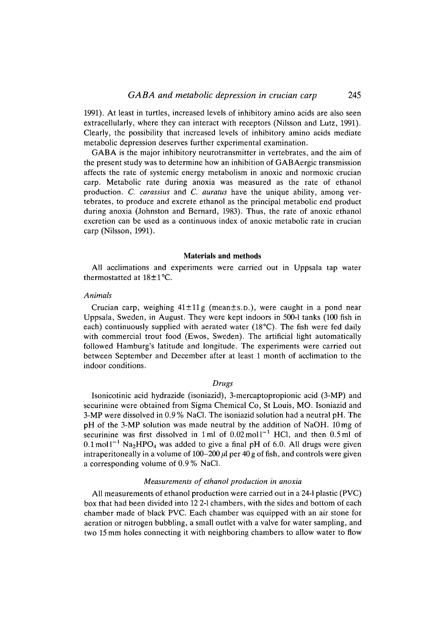1991). At least in turtles, increased levels of inhibitory amino acids are also seen extracellularly, where they can interact with receptors (Nilsson and Lutz, 1991). Clearly, the possibility that increased levels of inhibitory amino acids mediate metabolic depression deserves further experimental examination.

GABA is the major inhibitory neurotransmitter in vertebrates, and the aim of the present study was to determine how an inhibition of GABAergic transmission affects the rate of systemic energy metabolism in anoxic and normoxic crucian carp. Metabolic rate during anoxia was measured as the rate of ethanol production. *C. carassius* and *C. auratus* have the unique ability, among vertebrates, to produce and excrete ethanol as the principal metabolic end product during anoxia (Johnston and Bernard, 1983). Thus, the rate of anoxic ethanol excretion can be used as a continuous index of anoxic metabolic rate in crucian carp (Nilsson, 1991).

#### **Materials and methods**

All acclimations and experiments were carried out in Uppsala tap water thermostatted at 18±1°C.

### *Animals*

Crucian carp, weighing  $41 \pm 11$  g (mean $\pm$ s.p.), were caught in a pond near Uppsala, Sweden, in August. They were kept indoors in 500-1 tanks (100 fish in each) continuously supplied with aerated water (18°C). The fish were fed daily with commercial trout food (Ewos, Sweden). The artificial light automatically followed Hamburg's latitude and longitude. The experiments were carried out between September and December after at least 1 month of acclimation to the indoor conditions.

### *Drugs*

Isonicotinic acid hydrazide (isoniazid), 3-mercaptopropionic acid (3-MP) and securinine were obtained from Sigma Chemical Co, St Louis, MO. Isoniazid and 3-MP were dissolved in 0.9 % NaCl. The isoniazid solution had a neutral pH. The pH of the 3-MP solution was made neutral by the addition of NaOH. 10 mg of securinine was first dissolved in 1 ml of  $0.02 \text{ mol}^{-1}$  HCl, and then  $0.5 \text{ ml}$  of  $0.1 \text{ mol}^{-1}$  Na<sub>2</sub>HPO<sub>4</sub> was added to give a final pH of 6.0. All drugs were given intraperitoneally in a volume of  $100-200 \mu l$  per 40 g of fish, and controls were given a corresponding volume of 0.9% NaCl.

#### *Measurements of ethanol production in anoxia*

All measurements of ethanol production were carried out in a 24-1 plastic (PVC) box that had been divided into 12 2-1 chambers, with the sides and bottom of each chamber made of black PVC. Each chamber was equipped with an air stone for aeration or nitrogen bubbling, a small outlet with a valve for water sampling, and two 15 mm holes connecting it with neighboring chambers to allow water to flow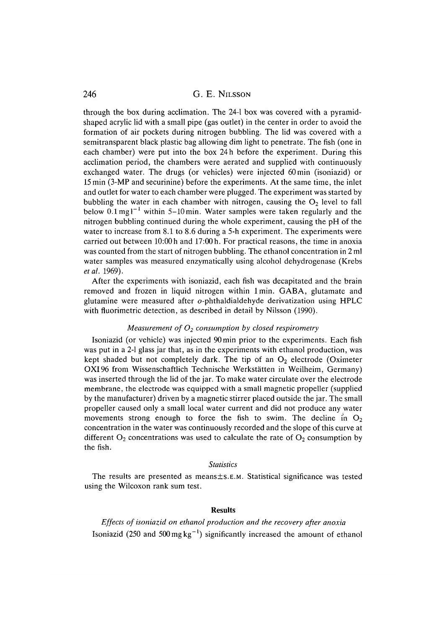through the box during acclimation. The 24-1 box was covered with a pyramidshaped acrylic lid with a small pipe (gas outlet) in the center in order to avoid the formation of air pockets during nitrogen bubbling. The lid was covered with a semitransparent black plastic bag allowing dim light to penetrate. The fish (one in each chamber) were put into the box 24 h before the experiment. During this acclimation period, the chambers were aerated and supplied with continuously exchanged water. The drugs (or vehicles) were injected 60min (isoniazid) or 15min (3-MP and securinine) before the experiments. At the same time, the inlet and outlet for water to each chamber were plugged. The experiment was started by bubbling the water in each chamber with nitrogen, causing the  $O<sub>2</sub>$  level to fall below  $0.1 \text{ mg}^{-1}$  within 5-10 min. Water samples were taken regularly and the nitrogen bubbling continued during the whole experiment, causing the pH of the water to increase from 8.1 to 8.6 during a 5-h experiment. The experiments were carried out between 10:00h and 17:00h. For practical reasons, the time in anoxia was counted from the start of nitrogen bubbling. The ethanol concentration in 2 ml water samples was measured enzymatically using alcohol dehydrogenase (Krebs *etal.* 1969).

After the experiments with isoniazid, each fish was decapitated and the brain removed and frozen in liquid nitrogen within lmin. GABA, glutamate and glutamine were measured after o-phthaldialdehyde derivatization using HPLC with fluorimetric detection, as described in detail by Nilsson (1990).

### *Measurement of O2 consumption by closed respirometry*

Isoniazid (or vehicle) was injected 90min prior to the experiments. Each fish was put in a 2-1 glass jar that, as in the experiments with ethanol production, was kept shaded but not completely dark. The tip of an  $O_2$  electrode (Oximeter OXI96 from Wissenschaftlich Technische Werkstatten in Weilheim, Germany) was inserted through the lid of the jar. To make water circulate over the electrode membrane, the electrode was equipped with a small magnetic propeller (supplied by the manufacturer) driven by a magnetic stirrer placed outside the jar. The small propeller caused only a small local water current and did not produce any water movements strong enough to force the fish to swim. The decline in  $O_2$ concentration in the water was continuously recorded and the slope of this curve at different  $O_2$  concentrations was used to calculate the rate of  $O_2$  consumption by the fish.

### *Statistics*

The results are presented as means±s.E.M. Statistical significance was tested using the Wilcoxon rank sum test.

# **Results**

*Effects of isoniazid on ethanol production and the recovery after anoxia* Isoniazid (250 and 500 mg  $kg^{-1}$ ) significantly increased the amount of ethanol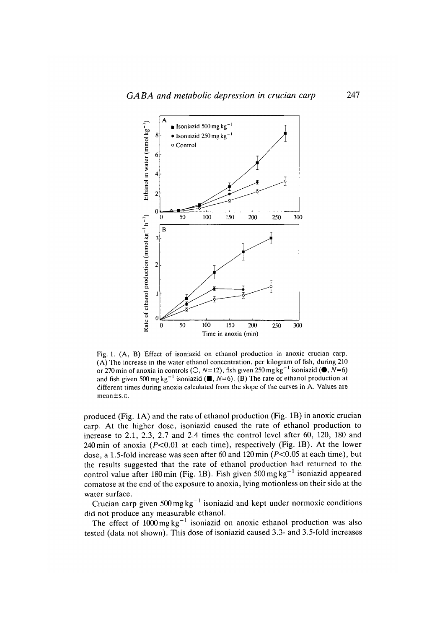

Fig. 1. (A, B) Effect of isoniazid on ethanol production in anoxic crucian carp. (A) The increase in the water ethanol concentration, per kilogram of fish, during 210 or 270 min of anoxia in controls ( $\circlearrowleft$ , *N*=12), fish given 250 mg kg<sup>-1</sup> isoniazid ( $\bullet$ , *N*=6) and fish given 500 mg kg<sup>-1</sup> isoniazid ( $\blacksquare$ , *N*=6). (B) The rate of ethanol production at different times during anoxia calculated from the slope of the curves in A. Values are mean±s.E.

produced (Fig. 1A) and the rate of ethanol production (Fig. IB) in anoxic crucian carp. At the higher dose, isoniazid caused the rate of ethanol production to increase to 2.1, 2.3, 2.7 and 2.4 times the control level after 60, 120, 180 and 240 min of anoxia ( $P < 0.01$  at each time), respectively (Fig. 1B). At the lower dose, a 1.5-fold increase was seen after 60 and 120 min ( $P<0.05$  at each time), but the results suggested that the rate of ethanol production had returned to the control value after 180 min (Fig. 1B). Fish given 500 mg  $kg^{-1}$  isoniazid appeared comatose at the end of the exposure to anoxia, lying motionless on their side at the water surface.

Crucian carp given  $500 \text{ mg kg}^{-1}$  isoniazid and kept under normoxic conditions did not produce any measurable ethanol.

The effect of  $1000 \text{ mg kg}^{-1}$  isoniazid on anoxic ethanol production was also tested (data not shown). This dose of isoniazid caused 3.3- and 3.5-fold increases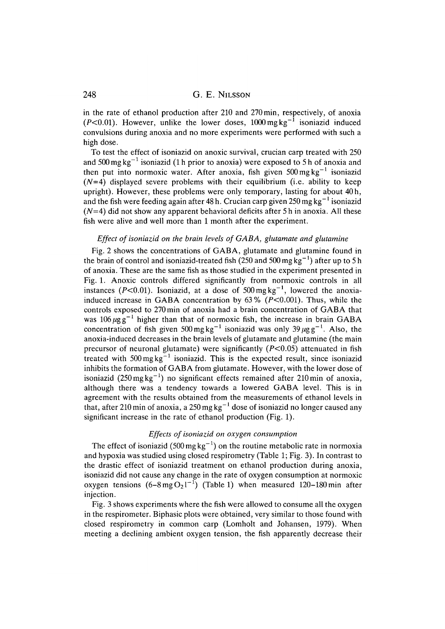in the rate of ethanol production after 210 and 270 min, respectively, of anoxia (P<0.01). However, unlike the lower doses,  $1000 \text{ mg kg}^{-1}$  isoniazid induced convulsions during anoxia and no more experiments were performed with such a high dose.

To test the effect of isoniazid on anoxic survival, crucian carp treated with 250 and 500 mg kg<sup>-1</sup> isoniazid (1 h prior to anoxia) were exposed to 5 h of anoxia and then put into normoxic water. After anoxia, fish given  $500 \,\text{mg}\,\text{kg}^{-1}$  isoniazid  $(N=4)$  displayed severe problems with their equilibrium (i.e. ability to keep upright). However, these problems were only temporary, lasting for about 40h, and the fish were feeding again after 48 h. Crucian carp given 250 mg kg<sup>-1</sup> isoniazid *(N=4)* did not show any apparent behavioral deficits after 5 h in anoxia. All these fish were alive and well more than 1 month after the experiment.

## *Effect of isoniazid on the brain levels of GABA, glutamate and glutamine*

Fig. 2 shows the concentrations of GABA, glutamate and glutamine found in the brain of control and isoniazid-treated fish (250 and 500 mg  $kg^{-1}$ ) after up to 5 h of anoxia. These are the same fish as those studied in the experiment presented in Fig. 1. Anoxic controls differed significantly from normoxic controls in all instances ( $P < 0.01$ ). Isoniazid, at a dose of 500 mg kg<sup>-1</sup>, lowered the anoxiainduced increase in GABA concentration by  $63\%$  ( $P < 0.001$ ). Thus, while the controls exposed to 270 min of anoxia had a brain concentration of GABA that was 106  $\mu$ g g<sup>-1</sup> higher than that of normoxic fish, the increase in brain GABA concentration of fish given 500 mg kg<sup>-1</sup> isoniazid was only 39  $\mu$ gg<sup>-1</sup>. Also, the anoxia-induced decreases in the brain levels of glutamate and glutamine (the main precursor of neuronal glutamate) were significantly  $(P<0.05)$  attenuated in fish treated with  $500 \text{ mg kg}^{-1}$  isoniazid. This is the expected result, since isoniazid inhibits the formation of GABA from glutamate. However, with the lower dose of isoniazid (250 mg kg<sup>-1</sup>) no significant effects remained after 210 min of anoxia, although there was a tendency towards a lowered GABA level. This is in agreement with the results obtained from the measurements of ethanol levels in that, after 210 min of anoxia, a 250 mg kg<sup>-1</sup> dose of isoniazid no longer caused any significant increase in the rate of ethanol production (Fig. 1).

# *Effects of isoniazid on oxygen consumption*

The effect of isoniazid (500 mg  $kg^{-1}$ ) on the routine metabolic rate in normoxia and hypoxia was studied using closed respirometry (Table 1; Fig. 3). In contrast to the drastic effect of isoniazid treatment on ethanol production during anoxia, isoniazid did not cause any change in the rate of oxygen consumption at normoxic oxygen tensions  $(6-8 \text{ mg } O_21^{-1})$  (Table 1) when measured 120–180 min after injection.

Fig. 3 shows experiments where the fish were allowed to consume all the oxygen in the respirometer. Biphasic plots were obtained, very similar to those found with closed respirometry in common carp (Lomholt and Johansen, 1979). When meeting a declining ambient oxygen tension, the fish apparently decrease their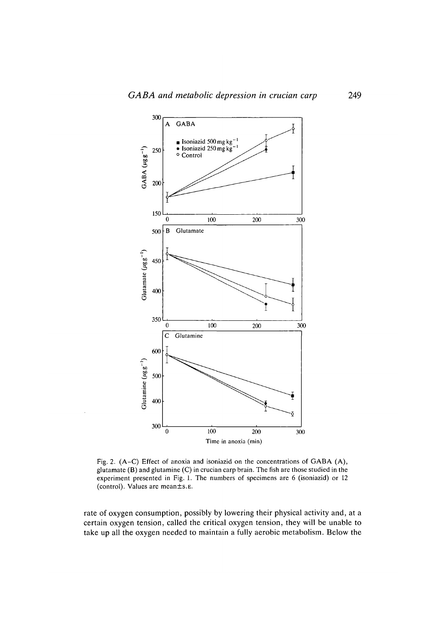

Fig. 2. (A-C) Effect of anoxia and isoniazid on the concentrations of GABA (A), glutamate (B) and glutamine (C) in crucian carp brain. The fish are those studied in the experiment presented in Fig. 1. The numbers of specimens are 6 (isoniazid) or 12 (control). Values are mean±s.E.

rate of oxygen consumption, possibly by lowering their physical activity and, at a certain oxygen tension, called the critical oxygen tension, they will be unable to take up all the oxygen needed to maintain a fully aerobic metabolism. Below the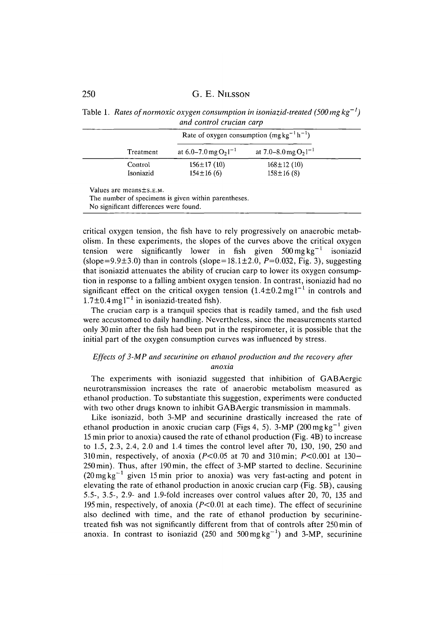Table 1. *Rates of normoxic oxygen consumption in isoniazid-treated (500 mg kg<sup>-1</sup>) and control crucian carp*

| Treatment |                           |                           |
|-----------|---------------------------|---------------------------|
|           | at 6.0–7.0 mg $O_2I^{-1}$ | at 7.0–8.0 mg $O_21^{-1}$ |
| Control   | $156 \pm 17(10)$          | $168 \pm 12$ (10)         |
| Isoniazid | $154 \pm 16(6)$           | $158 \pm 16$ (8)          |

The number of specimens is given within parentheses.

No significant differences were found.

critical oxygen tension, the fish have to rely progressively on anaerobic metabolism. In these experiments, the slopes of the curves above the critical oxygen tension were significantly lower in fish given  $500 \text{ mg kg}^{-1}$  isoniazid (slope=9.9 $\pm$ 3.0) than in controls (slope=18.1 $\pm$ 2.0, P=0.032, Fig. 3), suggesting that isoniazid attenuates the ability of crucian carp to lower its oxygen consumption in response to a falling ambient oxygen tension. In contrast, isoniazid had no significant effect on the critical oxygen tension  $(1.4 \pm 0.2 \text{ mg})^{-1}$  in controls and  $1.7\pm0.4$  mg l<sup>-1</sup> in isoniazid-treated fish).

The crucian carp is a tranquil species that is readily tamed, and the fish used were accustomed to daily handling. Nevertheless, since the measurements started only 30 min after the fish had been put in the respirometer, it is possible that the initial part of the oxygen consumption curves was influenced by stress.

# *Effects of 3-MP and securinine on ethanol production and the recovery after anoxia*

The experiments with isoniazid suggested that inhibition of GABAergic neurotransmission increases the rate of anaerobic metabolism measured as ethanol production. To substantiate this suggestion, experiments were conducted with two other drugs known to inhibit GABAergic transmission in mammals.

Like isoniazid, both 3-MP and securinine drastically increased the rate of ethanol production in anoxic crucian carp (Figs 4, 5). 3-MP (200 mg kg<sup>-1</sup> given 15 min prior to anoxia) caused the rate of ethanol production (Fig. 4B) to increase to 1.5, 2.3, 2.4, 2.0 and 1.4 times the control level after 70, 130, 190, 250 and 310 min, respectively, of anoxia ( $P<0.05$  at 70 and 310 min;  $P<0.001$  at 130-250min). Thus, after 190min, the effect of 3-MP started to decline. Securinine  $(20 \,\text{mg}\,\text{kg}^{-1})$  given 15 min prior to anoxia) was very fast-acting and potent in elevating the rate of ethanol production in anoxic crucian carp (Fig. 5B), causing 5.5-, 3.5-, 2.9- and 1.9-fold increases over control values after 20, 70, 135 and 195 min, respectively, of anoxia  $(P<0.01$  at each time). The effect of securinine also declined with time, and the rate of ethanol production by securininetreated fish was not significantly different from that of controls after 250 min of anoxia. In contrast to isoniazid (250 and 500 mg kg<sup>-1</sup>) and 3-MP, securinine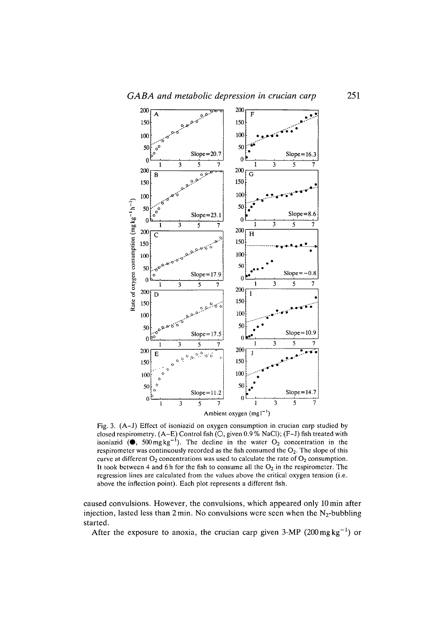

Fig. 3. (A-J) Effect of isoniazid on oxygen consumption in crucian carp studied by closed respirometry. (A-E) Control fish (O, given 0.9 % NaCl); (F-J) fish treated with isoniazid ( $\bullet$ , 500 mg kg<sup>-1</sup>). The decline in the water O<sub>2</sub> concentration in the respirometer was continuously recorded as the fish consumed the  $O_2$ . The slope of this curve at different  $O_2$  concentrations was used to calculate the rate of  $O_2$  consumption. It took between 4 and 6h for the fish to consume all the  $O_2$  in the respirometer. The regression lines are calculated from the values above the critical oxygen tension (i.e. above the inflection point). Each plot represents a different fish.

caused convulsions. However, the convulsions, which appeared only lOmin after injection, lasted less than  $2 \text{ min}$ . No convulsions were seen when the N<sub>2</sub>-bubbling started.

After the exposure to anoxia, the crucian carp given 3-MP (200 mg kg<sup>-1</sup>) or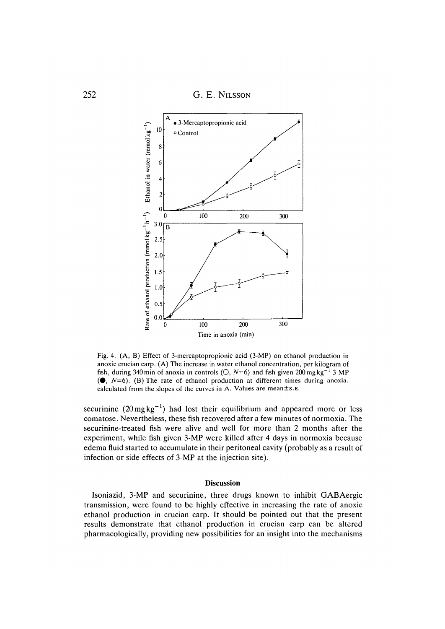

Fig. 4. (A, B) Effect of 3-mercaptopropionic acid (3-MP) on ethanol production in anoxic crucian carp. (A) The increase in water ethanol concentration, per kilogram of fish, during 340 min of anoxia in controls ( $\circ$ ,  $N=6$ ) and fish given 200 mg kg<sup>-1</sup> 3-MP  $($   $\bullet$ ,  $N=6$ ). (B) The rate of ethanol production at different times during anoxia, calculated from the slopes of the curves in A. Values are mean±s.E.

securinine  $(20 \,\text{mg}\,\text{kg}^{-1})$  had lost their equilibrium and appeared more or less comatose. Nevertheless, these fish recovered after a few minutes of normoxia. The securinine-treated fish were alive and well for more than 2 months after the experiment, while fish given 3-MP were killed after 4 days in normoxia because edema fluid started to accumulate in their peritoneal cavity (probably as a result of infection or side effects of 3-MP at the injection site).

#### **Discussion**

Isoniazid, 3-MP and securinine, three drugs known to inhibit GABAergic transmission, were found to be highly effective in increasing the rate of anoxic ethanol production in crucian carp. It should be pointed out that the present results demonstrate that ethanol production in crucian carp can be altered pharmacologically, providing new possibilities for an insight into the mechanisms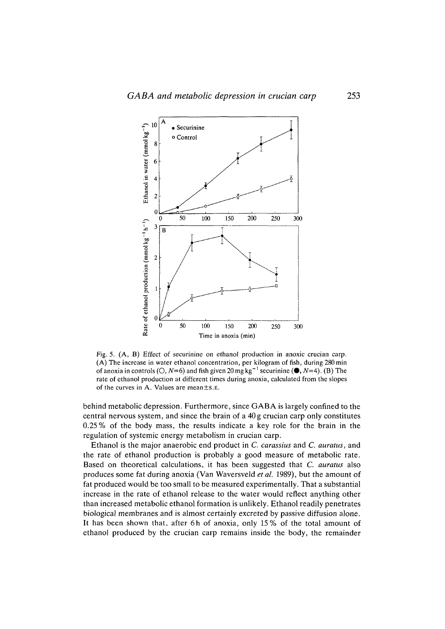

Fig. 5. (A, B) Effect of securinine on ethanol production in anoxic crucian carp. (A) The increase in water ethanol concentration, per kilogram of fish, during 280 min of anoxia in controls ( $\circlearrowright$ ,  $N=6$ ) and fish given 20 mg kg<sup>-1</sup> securinine ( $\bullet$ ,  $N=4$ ). (B) The rate of ethanol production at different times during anoxia, calculated from the slopes of the curves in A. Values are mean±s.E.

behind metabolic depression. Furthermore, since GABA is largely confined to the central nervous system, and since the brain of a 40 g crucian carp only constitutes 0.25% of the body mass, the results indicate a key role for the brain in the regulation of systemic energy metabolism in crucian carp.

Ethanol is the major anaerobic end product in *C. carassius* and *C. auratus,* and the rate of ethanol production is probably a good measure of metabolic rate. Based on theoretical calculations, it has been suggested that *C. auratus* also produces some fat during anoxia (Van Waversveld *et al.* 1989), but the amount of fat produced would be too small to be measured experimentally. That a substantial increase in the rate of ethanol release to the water would reflect anything other than increased metabolic ethanol formation is unlikely. Ethanol readily penetrates biological membranes and is almost certainly excreted by passive diffusion alone. It has been shown that, after 6h of anoxia, only 15% of the total amount of ethanol produced by the crucian carp remains inside the body, the remainder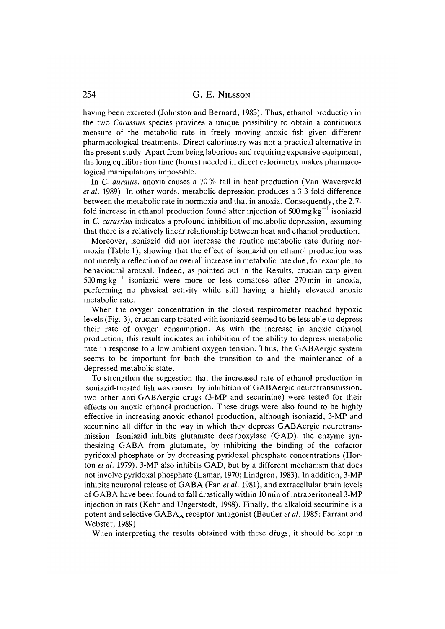having been excreted (Johnston and Bernard, 1983). Thus, ethanol production in the two *Carassius* species provides a unique possibility to obtain a continuous measure of the metabolic rate in freely moving anoxic fish given different pharmacological treatments. Direct calorimetry was not a practical alternative in the present study. Apart from being laborious and requiring expensive equipment, the long equilibration time (hours) needed in direct calorimetry makes pharmacological manipulations impossible.

In *C. auratus,* anoxia causes a 70 % fall in heat production (Van Waversveld *etal.* 1989). In other words, metabolic depression produces a 3.3-fold difference between the metabolic rate in normoxia and that in anoxia. Consequently, the 2.7 fold increase in ethanol production found after injection of 500 mg  $kg^{-1}$  isoniazid in *C. carassius* indicates a profound inhibition of metabolic depression, assuming that there is a relatively linear relationship between heat and ethanol production.

Moreover, isoniazid did not increase the routine metabolic rate during normoxia (Table 1), showing that the effect of isoniazid on ethanol production was not merely a reflection of an overall increase in metabolic rate due, for example, to behavioural arousal. Indeed, as pointed out in the Results, crucian carp given  $500 \,\text{mg}\,\text{kg}^{-1}$  isoniazid were more or less comatose after 270 min in anoxia, performing no physical activity while still having a highly elevated anoxic metabolic rate.

When the oxygen concentration in the closed respirometer reached hypoxic levels (Fig. 3), crucian carp treated with isoniazid seemed to be less able to depress their rate of oxygen consumption. As with the increase in anoxic ethanol production, this result indicates an inhibition of the ability to depress metabolic rate in response to a low ambient oxygen tension. Thus, the GABAergic system seems to be important for both the transition to and the maintenance of a depressed metabolic state.

To strengthen the suggestion that the increased rate of ethanol production in isoniazid-treated fish was caused by inhibition of GABAergic neurotransmission, two other anti-GABAergic drugs (3-MP and securinine) were tested for their effects on anoxic ethanol production. These drugs were also found to be highly effective in increasing anoxic ethanol production, although isoniazid, 3-MP and securinine all differ in the way in which they depress GABAergic neurotransmission. Isoniazid inhibits glutamate decarboxylase (GAD), the enzyme synthesizing GABA from glutamate, by inhibiting the binding of the cofactor pyridoxal phosphate or by decreasing pyridoxal phosphate concentrations (Horton *et al.* 1979). 3-MP also inhibits GAD, but by a different mechanism that does not involve pyridoxal phosphate (Lamar, 1970; Lindgren, 1983). In addition, 3-MP inhibits neuronal release of GABA (Fan *et al.* 1981), and extracellular brain levels of GABA have been found to fall drastically within 10 min of intraperitoneal 3-MP injection in rats (Kehr and Ungerstedt, 1988). Finally, the alkaloid securinine is a potent and selective GABA<sub>A</sub> receptor antagonist (Beutler *et al.* 1985; Farrant and Webster, 1989).

When interpreting the results obtained with these drugs, it should be kept in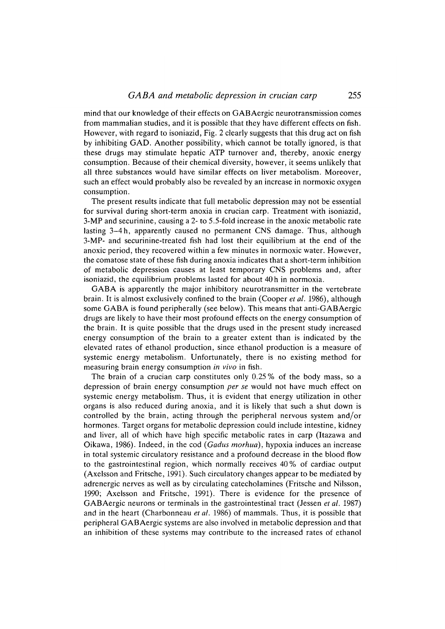mind that our knowledge of their effects on GABAergic neurotransmission comes from mammalian studies, and it is possible that they have different effects on fish. However, with regard to isoniazid, Fig. 2 clearly suggests that this drug act on fish by inhibiting GAD. Another possibility, which cannot be totally ignored, is that these drugs may stimulate hepatic ATP turnover and, thereby, anoxic energy consumption. Because of their chemical diversity, however, it seems unlikely that all three substances would have similar effects on liver metabolism. Moreover, such an effect would probably also be revealed by an increase in normoxic oxygen consumption.

The present results indicate that full metabolic depression may not be essential for survival during short-term anoxia in crucian carp. Treatment with isoniazid, 3-MP and securinine, causing a 2- to 5.5-fold increase in the anoxic metabolic rate lasting 3-4h, apparently caused no permanent CNS damage. Thus, although 3-MP- and securinine-treated fish had lost their equilibrium at the end of the anoxic period, they recovered within a few minutes in normoxic water. However, the comatose state of these fish during anoxia indicates that a short-term inhibition of metabolic depression causes at least temporary CNS problems and, after isoniazid, the equilibrium problems lasted for about 40h in normoxia.

GABA is apparently the major inhibitory neurotransmitter in the vertebrate brain. It is almost exclusively confined to the brain (Cooper *et al.* 1986), although some GABA is found peripherally (see below). This means that anti-GABAergic drugs are likely to have their most profound effects on the energy consumption of the brain. It is quite possible that the drugs used in the present study increased energy consumption of the brain to a greater extent than is indicated by the elevated rates of ethanol production, since ethanol production is a measure of systemic energy metabolism. Unfortunately, there is no existing method for measuring brain energy consumption *in vivo* in fish.

The brain of a crucian carp constitutes only 0.25 % of the body mass, so a depression of brain energy consumption *per se* would not have much effect on systemic energy metabolism. Thus, it is evident that energy utilization in other organs is also reduced during anoxia, and it is likely that such a shut down is controlled by the brain, acting through the peripheral nervous system and/or hormones. Target organs for metabolic depression could include intestine, kidney and liver, all of which have high specific metabolic rates in carp (Itazawa and Oikawa, 1986). Indeed, in the cod *(Gadus morhua),* hypoxia induces an increase in total systemic circulatory resistance and a profound decrease in the blood flow to the gastrointestinal region, which normally receives 40% of cardiac output (Axelsson and Fritsche, 1991). Such circulatory changes appear to be mediated by adrenergic nerves as well as by circulating catecholamines (Fritsche and Nilsson, 1990; Axelsson and Fritsche, 1991). There is evidence for the presence of GABAergic neurons or terminals in the gastrointestinal tract (Jessen *et al.* 1987) and in the heart (Charbonneau *et al.* 1986) of mammals. Thus, it is possible that peripheral GABAergic systems are also involved in metabolic depression and that an inhibition of these systems may contribute to the increased rates of ethanol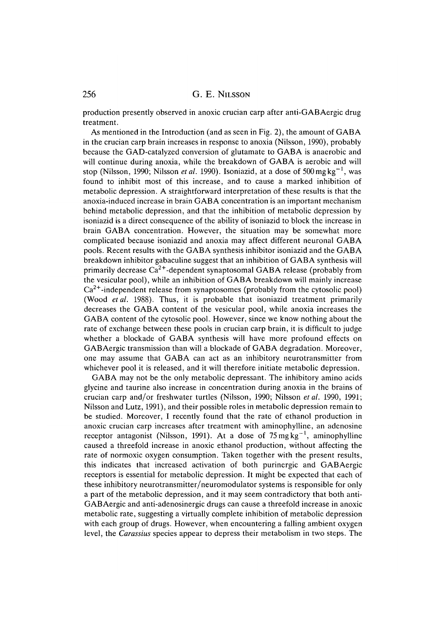production presently observed in anoxic crucian carp after anti-GABAergic drug treatment.

As mentioned in the Introduction (and as seen in Fig. 2), the amount of GABA in the crucian carp brain increases in response to anoxia (Nilsson, 1990), probably because the GAD-catalyzed conversion of glutamate to GABA is anaerobic and will continue during anoxia, while the breakdown of GABA is aerobic and will stop (Nilsson, 1990; Nilsson *et al.* 1990). Isoniazid, at a dose of 500 mg kg<sup>-1</sup>, was found to inhibit most of this increase, and to cause a marked inhibition of metabolic depression. A straightforward interpretation of these results is that the anoxia-induced increase in brain GABA concentration is an important mechanism behind metabolic depression, and that the inhibition of metabolic depression by isoniazid is a direct consequence of the ability of isoniazid to block the increase in brain GABA concentration. However, the situation may be somewhat more complicated because isoniazid and anoxia may affect different neuronal GABA pools. Recent results with the GABA synthesis inhibitor isoniazid and the GABA breakdown inhibitor gabaculine suggest that an inhibition of GABA synthesis will primarily decrease  $Ca^{2+}$ -dependent synaptosomal GABA release (probably from the vesicular pool), while an inhibition of GABA breakdown will mainly increase  $Ca<sup>2+</sup>$ -independent release from synaptosomes (probably from the cytosolic pool) (Wood *etal.* 1988). Thus, it is probable that isoniazid treatment primarily decreases the GABA content of the vesicular pool, while anoxia increases the GABA content of the cytosolic pool. However, since we know nothing about the rate of exchange between these pools in crucian carp brain, it is difficult to judge whether a blockade of GABA synthesis will have more profound effects on GABAergic transmission than will a blockade of GABA degradation. Moreover, one may assume that GABA can act as an inhibitory neurotransmitter from whichever pool it is released, and it will therefore initiate metabolic depression.

GABA may not be the only metabolic depressant. The inhibitory amino acids glycine and taurine also increase in concentration during anoxia in the brains of crucian carp and/or freshwater turtles (Nilsson, 1990; Nilsson *etal.* 1990, 1991; Nilsson and Lutz, 1991), and their possible roles in metabolic depression remain to be studied. Moreover, I recently found that the rate of ethanol production in anoxic crucian carp increases after treatment with aminophylline, an adenosine receptor antagonist (Nilsson, 1991). At a dose of  $75 \,\text{mg}\,\text{kg}^{-1}$ , aminophylline caused a threefold increase in anoxic ethanol production, without affecting the rate of normoxic oxygen consumption. Taken together with the present results, this indicates that increased activation of both purinergic and GABAergic receptors is essential for metabolic depression. It might be expected that each of these inhibitory neurotransmitter/neuromodulator systems is responsible for only a part of the metabolic depression, and it may seem contradictory that both anti-GABAergic and anti-adenosinergic drugs can cause a threefold increase in anoxic metabolic rate, suggesting a virtually complete inhibition of metabolic depression with each group of drugs. However, when encountering a falling ambient oxygen level, the *Carassius* species appear to depress their metabolism in two steps. The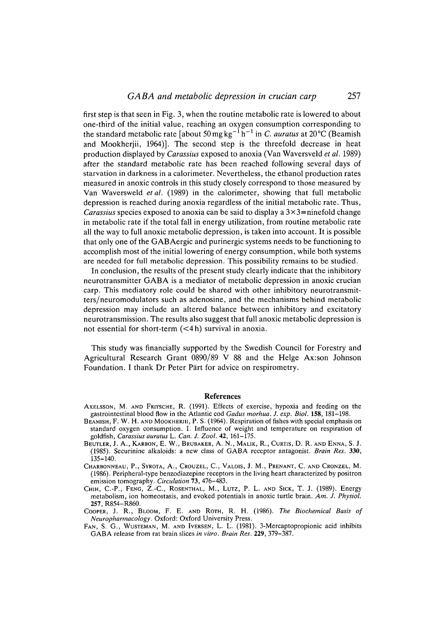first step is that seen in Fig. 3, when the routine metabolic rate is lowered to about one-third of the initial value, reaching an oxygen consumption corresponding to the standard metabolic rate [about 50 mg kg<sup>-1</sup> h<sup>-1</sup> in *C. auratus* at 20 °C (Beamish and Mookheriii, 1964)]. The second step is the threefold decrease in heat production displayed by *Carassius* exposed to anoxia (Van Waversveld *et al.* 1989) after the standard metabolic rate has been reached following several days of starvation in darkness in a calorimeter. Nevertheless, the ethanol production rates measured in anoxic controls in this study closely correspond to those measured by Van Waversweld *etal.* (1989) in the calorimeter, showing that full metabolic depression is reached during anoxia regardless of the initial metabolic rate. Thus, *Carassius* species exposed to anoxia can be said to display a  $3 \times 3$ =ninefold change in metabolic rate if the total fall in energy utilization, from routine metabolic rate all the way to full anoxic metabolic depression, is taken into account. It is possible that only one of the GAB Aergic and purinergic systems needs to be functioning to accomplish most of the initial lowering of energy consumption, while both systems are needed for full metabolic depression. This possibility remains to be studied.

In conclusion, the results of the present study clearly indicate that the inhibitory neurotransmitter GABA is a mediator of metabolic depression in anoxic crucian carp. This mediatory role could be shared with other inhibitory neurotransmitters/neuromodulators such as adenosine, and the mechanisms behind metabolic depression may include an altered balance between inhibitory and excitatory neurotransmission. The results also suggest that full anoxic metabolic depression is not essential for short-term (<4h) survival in anoxia.

This study was financially supported by the Swedish Council for Forestry and Agricultural Research Grant 0890/89 V 88 and the Helge Ax:son Johnson Foundation. I thank Dr Peter Pärt for advice on respirometry.

### References

- AXELSSON, M. AND FRITSCHE, R. (1991). Effects of exercise, hypoxia and feeding on the gastrointestinal blood flow in the Atlantic cod *Gadus morhua. J. exp. Biol.* **158,** 181-198.
- BEAMISH, F. W. H. AND MOOKHERJII, P. S. (1964). Respiration of fishes with special emphasis on standard oxygen consumption. I. Influence of weight and temperature on respiration of goldfish, *Carassius auratus* L. *Can. J. Zool.* 42, 161-175.
- BEUTLER, J. A., KARBON, E. W., BRUBAKER, A. N., MALIK, R., CURTIS, D. R. AND ENNA, S. J. (1985). Securinine alkaloids: a new class of GABA receptor antagonist. *Brain Res.* **330,** 135-140.
- CHARBONNEAU, P., SYROTA, A., CROUZEL, C., VALOIS, J. M., PRENANT, C. AND CRONZEL, M. (1986). Peripheral-type benzodiazepine receptors in the living heart characterized by positron emission tomography. *Circulation* **73,** 476-483.
- CHIH, C.-P., FENG, Z.-C, ROSENTHAL, M., LUTZ, P. L. AND SICK, T. J. (1989). Energy metabolism, ion homeostasis, and evoked potentials in anoxic turtle brain. *Am. J. Physiol.* **257,** R854-R860.
- COOPER, J. R., BLOOM, F. E. AND ROTH, R. H. (1986). *The Biochemical Basis of Neuropharmacology.* Oxford: Oxford University Press.
- FAN, S. G., WUSTEMAN, M. AND IVERSEN, L. L. (1981). 3-Mercaptopropionic acid inhibits GABA release from rat brain slices *in vitro. Brain Res.* **229,** 379-387.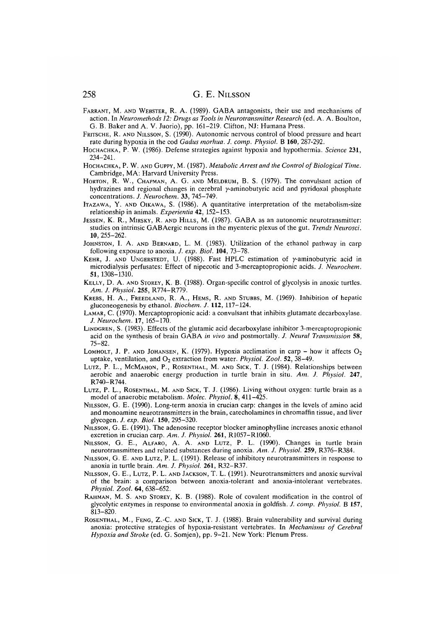- FARRANT, M. AND WEBSTER, R. A. (1989). GABA antagonists, their use and mechanisms of action. In *Neuromethods 12: Drugs as Tools in Neurotransmitter Research* (ed. A. A. Boulton, G. B. Baker and A. V. Juorio), pp. 161-219. Clifton, NJ: Humana Press.
- FRITSCHE, R. AND NILSSON, S. (1990). Autonomic nervous control of blood pressure and heart rate during hypoxia in the cod *Gadus morhua. J. comp. Physiol.* B **160,** 287-292.
- HOCHACHKA, P. W. (1986). Defense strategies against hypoxia and hypothermia. *Science* **231,** 234-241.
- HOCHACHKA, P. W. AND GUPPY, M. (1987). *Metabolic Arrest and the Control of Biological Time.* Cambridge, MA: Harvard University Press.
- HORTON, R. W., CHAPMAN, A. G. AND MELDRUM, B. S. (1979). The convulsant action of hydrazines and regional changes in cerebral y-aminobutyric acid and pyridoxal phosphate concentrations. *J. Neurochem.* **33,** 745-749.
- ITAZAWA, Y. AND OIKAWA, S. (1986). A quantitative interpretation of the metabolism-size relationship in animals. *Experientia* **42,** 152-153.
- JESSEN, K. R., MIRSKY, R. AND HILLS, M. (1987). GABA as an autonomic neurotransmitter: studies on intrinsic GABAergic neurons in the myenteric plexus of the gut. *Trends Neurosci.* **10,** 255-262.
- JOHNSTON, I. A. AND BERNARD, L. M. (1983). Utilization of the ethanol pathway in carp following exposure to anoxia. /. *exp. Biol.* **104,** 73-78.
- KEHR, J. AND UNGERSTEDT, U. (1988). Fast HPLC estimation of y-aminobutyric acid in microdialysis perfusates: Effect of nipecotic and 3-mercaptopropionic acids. *J. Neurochem.* **51,**1308-1310.
- KELLY, D. A. AND STOREY, K. B. (1988). Organ-specific control of glycolysis in anoxic turtles. *Am. J. Physiol.* **255,** R774-R779.
- KREBS, H. A., FREEDLAND, R. A., HEMS, R. AND STUBBS, M. (1969). Inhibition of hepatic gluconeogenesis by ethanol. *Biochem. J.* **112,** 117-124.
- LAMAR, C. (1970). Mercaptopropionic acid: a convulsant that inhibits glutamate decarboxylase. /. *Neurochem.* **17,** 165-170.
- LINDGREN, S. (1983). Effects of the glutamic acid decarboxylase inhibitor 3-mercaptopropionic acid on the synthesis of brain GABA *in vivo* and postmortally. *J. Neural Transmission* 58, 75-82.
- LOMHOLT, J. P. AND JOHANSEN, K. (1979). Hypoxia acclimation in carp how it affects  $O_2$ uptake, ventilation, and O<sub>2</sub> extraction from water. *Physiol. Zool.* **52**, 38-49.
- LUTZ, P. L., MCMAHON, P., ROSENTHAL, M. AND SICK, T. J. (1984). Relationships between aerobic and anaerobic energy production in turtle brain in situ. *Am. J. Physiol.* **247,** R740-R744.
- LUTZ, P. L., ROSENTHAL, M. AND SICK, T. J. (1986). Living without oxygen: turtle brain as a model of anaerobic metabolism. *Molec. Physiol.* 8, 411-425.
- NILSSON, G. E. (1990). Long-term anoxia in crucian carp: changes in the levels of amino acid and monoamine neurotransmitters in the brain, catecholamines in chromaffin tissue, and liver glycogen. *J. exp. Biol.* **150,** 295-320.
- NILSSON, G. E. (1991). The adenosine receptor blocker aminophylline increases anoxic ethanol excretion in crucian carp. *Am. J. Physiol.* **261,** R1057-R1060.
- NILSSON, G. E., ALFARO, A. A. AND LUTZ, P. L. (1990). Changes in turtle brain neurotransmitters and related substances during anoxia. *Am. J. Physiol.* **259,** R376-R384.
- NILSSON, G. E. AND LUTZ, P. L. (1991). Release of inhibitory neurotransmitters in response to anoxia in turtle brain. *Am. J. Physiol.* **261,** R32-R37.
- NILSSON, G. E., LUTZ, P. L. AND JACKSON, T. L. (1991). Neurotransmitters and anoxic survival of the brain: a comparison between anoxia-tolerant and anoxia-intolerant vertebrates. *Physiol. Zool.* **64,** 638-652.
- RAHMAN, M. S. AND STOREY, K. B. (1988). Role of covalent modification in the control of glycolytic enzymes in response to environmental anoxia in goldfish. *J. comp. Physiol.* B **157,** 813-820.
- ROSENTHAL, M., FENG, Z.-C. AND SICK, T. J. (1988). Brain vulnerability and survival during anoxia: protective strategies of hypoxia-resistant vertebrates. In *Mechanisms of Cerebral Hypoxia and Stroke* (ed. G. Somjen), pp. 9-21. New York: Plenum Press.